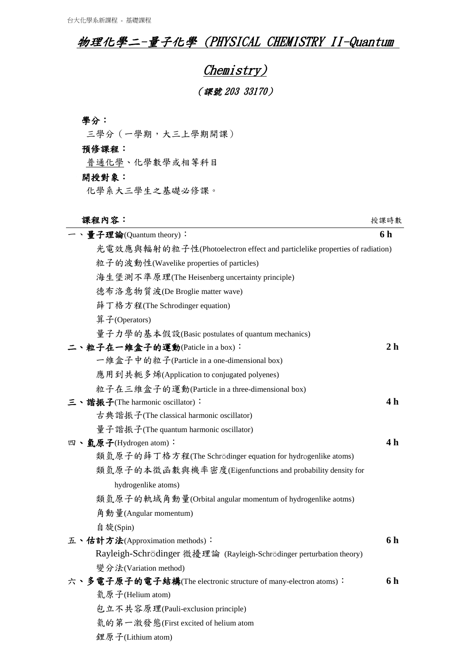## 物理化學二-量子化學 (PHYSICAL CHEMISTRY II-Quantum

# Chemistry) (課號 203 33170)

### 學分:

三學分(一學期,大三上學期開課)

#### 預修課程:

普通化學、化學數學或相等科目

#### 開授對象:

化學系大三學生之基礎必修課。

#### 課程內容:授課時數

| - 、量子理論(Quantum theory):                                                   | 6 h            |
|----------------------------------------------------------------------------|----------------|
| 光電效應與輻射的粒子性(Photoelectron effect and particlelike properties of radiation) |                |
| 粒子的波動性(Wavelike properties of particles)                                   |                |
| 海生堡測不準原理(The Heisenberg uncertainty principle)                             |                |
| 德布洛意物質波(De Broglie matter wave)                                            |                |
| 薛丁格方程(The Schrodinger equation)                                            |                |
| 算子(Operators)                                                              |                |
| 量子力學的基本假設(Basic postulates of quantum mechanics)                           |                |
| 二丶粒子在一维盒子的運動(Paticle in a box):                                            | 2 <sub>h</sub> |
| 一維盒子中的粒子(Particle in a one-dimensional box)                                |                |
| 應用到共軛多烯(Application to conjugated polyenes)                                |                |
| 粒子在三維盒子的運動(Particle in a three-dimensional box)                            |                |
| 三、諧振子(The harmonic oscillator):                                            | 4 h            |
| 古典諧振子(The classical harmonic oscillator)                                   |                |
| 量子諧振子(The quantum harmonic oscillator)                                     |                |
| 四、氫原子(Hydrogen atom):                                                      | 4 h            |
| 類氫原子的薛丁格方程(The Schrödinger equation for hydrogenlike atoms)                |                |
| 類氫原子的本徵函數與機率密度(Eigenfunctions and probability density for                  |                |
| hydrogenlike atoms)                                                        |                |
| 類氫原子的軌域角動量(Orbital angular momentum of hydrogenlike aotms)                 |                |
| 角動量(Angular momentum)                                                      |                |
| 自旋(Spin)                                                                   |                |
| 五、估計方法(Approximation methods):                                             | 6h             |
| Rayleigh-Schrödinger 微擾理論 (Rayleigh-Schrödinger perturbation theory)       |                |
| 變分法(Variation method)                                                      |                |
| 六、多電子原子的電子結構(The electronic structure of many-electron atoms):             | 6 h            |
| 氦原子(Helium atom)                                                           |                |
| 包立不共容原理(Pauli-exclusion principle)                                         |                |
| 氦的第一激發態(First excited of helium atom                                       |                |
| 鋰原子(Lithium atom)                                                          |                |